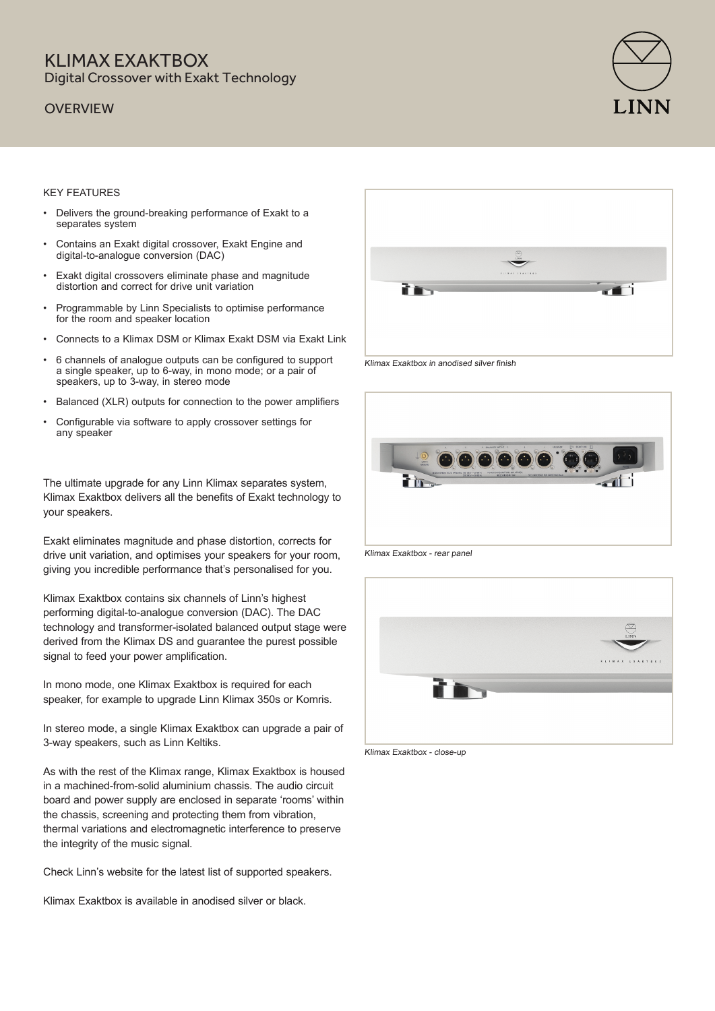### KI IMAX FXAKTROX Digital Crossover with Exakt Technology

### **OVERVIEW**



#### KEY FEATURES

- Delivers the ground-breaking performance of Exakt to a separates system
- Contains an Exakt digital crossover, Exakt Engine and digital-to-analogue conversion (DAC)
- Exakt digital crossovers eliminate phase and magnitude distortion and correct for drive unit variation
- Programmable by Linn Specialists to optimise performance for the room and speaker location
- Connects to a Klimax DSM or Klimax Exakt DSM via Exakt Link
- 6 channels of analogue outputs can be configured to support a single speaker, up to 6-way, in mono mode; or a pair of speakers, up to 3-way, in stereo mode
- Balanced (XLR) outputs for connection to the power amplifiers
- Configurable via software to apply crossover settings for any speaker

The ultimate upgrade for any Linn Klimax separates system, Klimax Exaktbox delivers all the benefits of Exakt technology to your speakers.

Exakt eliminates magnitude and phase distortion, corrects for drive unit variation, and optimises your speakers for your room, giving you incredible performance that's personalised for you.

Klimax Exaktbox contains six channels of Linn's highest performing digital-to-analogue conversion (DAC). The DAC technology and transformer-isolated balanced output stage were derived from the Klimax DS and guarantee the purest possible signal to feed your power amplification.

In mono mode, one Klimax Exaktbox is required for each speaker, for example to upgrade Linn Klimax 350s or Komris.

In stereo mode, a single Klimax Exaktbox can upgrade a pair of 3-way speakers, such as Linn Keltiks.

As with the rest of the Klimax range, Klimax Exaktbox is housed in a machined-from-solid aluminium chassis. The audio circuit board and power supply are enclosed in separate 'rooms' within the chassis, screening and protecting them from vibration, thermal variations and electromagnetic interference to preserve the integrity of the music signal.

Check Linn's website for the latest list of supported speakers.

Klimax Exaktbox is available in anodised silver or black.



Klimax Exaktbox in anodised silver finish



Klimax Exaktbox - rear panel



Klimax Exaktbox - close-up